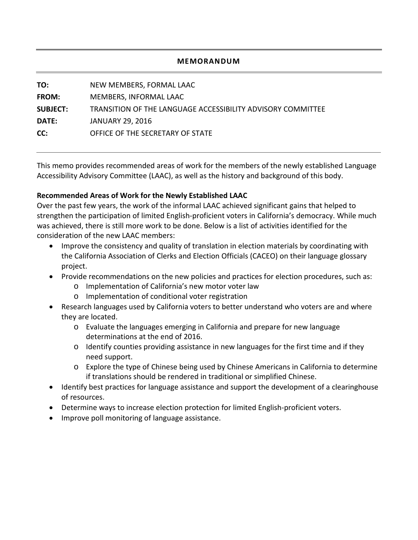#### **MEMORANDUM**

| TO:             | NEW MEMBERS, FORMAL LAAC                                    |
|-----------------|-------------------------------------------------------------|
| <b>FROM:</b>    | MEMBERS, INFORMAL LAAC                                      |
| <b>SUBJECT:</b> | TRANSITION OF THE LANGUAGE ACCESSIBILITY ADVISORY COMMITTEE |
| <b>DATE:</b>    | <b>JANUARY 29, 2016</b>                                     |
| CC:             | OFFICE OF THE SECRETARY OF STATE                            |
|                 |                                                             |

This memo provides recommended areas of work for the members of the newly established Language Accessibility Advisory Committee (LAAC), as well as the history and background of this body.

#### **Recommended Areas of Work for the Newly Established LAAC**

Over the past few years, the work of the informal LAAC achieved significant gains that helped to strengthen the participation of limited English-proficient voters in California's democracy. While much was achieved, there is still more work to be done. Below is a list of activities identified for the consideration of the new LAAC members:

- Improve the consistency and quality of translation in election materials by coordinating with the California Association of Clerks and Election Officials (CACEO) on their language glossary project.
- Provide recommendations on the new policies and practices for election procedures, such as:
	- o Implementation of California's new motor voter law
	- o Implementation of conditional voter registration
- Research languages used by California voters to better understand who voters are and where they are located.
	- o Evaluate the languages emerging in California and prepare for new language determinations at the end of 2016.
	- $\circ$  Identify counties providing assistance in new languages for the first time and if they need support.
	- o Explore the type of Chinese being used by Chinese Americans in California to determine if translations should be rendered in traditional or simplified Chinese.
- Identify best practices for language assistance and support the development of a clearinghouse of resources.
- Determine ways to increase election protection for limited English-proficient voters.
- Improve poll monitoring of language assistance.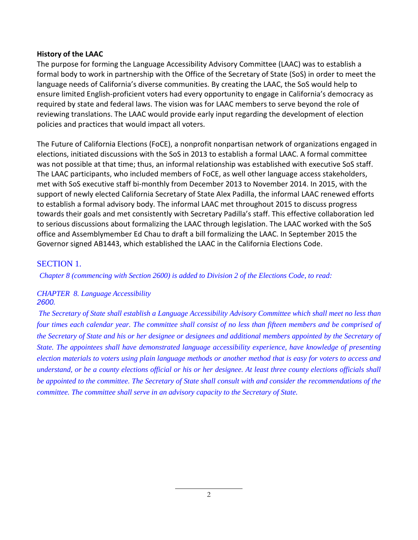#### **History of the LAAC**

The purpose for forming the Language Accessibility Advisory Committee (LAAC) was to establish a formal body to work in partnership with the Office of the Secretary of State (SoS) in order to meet the language needs of California's diverse communities. By creating the LAAC, the SoS would help to ensure limited English-proficient voters had every opportunity to engage in California's democracy as required by state and federal laws. The vision was for LAAC members to serve beyond the role of reviewing translations. The LAAC would provide early input regarding the development of election policies and practices that would impact all voters.

The Future of California Elections (FoCE), a nonprofit nonpartisan network of organizations engaged in elections, initiated discussions with the SoS in 2013 to establish a formal LAAC. A formal committee was not possible at that time; thus, an informal relationship was established with executive SoS staff. The LAAC participants, who included members of FoCE, as well other language access stakeholders, met with SoS executive staff bi-monthly from December 2013 to November 2014. In 2015, with the support of newly elected California Secretary of State Alex Padilla, the informal LAAC renewed efforts to establish a formal advisory body. The informal LAAC met throughout 2015 to discuss progress towards their goals and met consistently with Secretary Padilla's staff. This effective collaboration led to serious discussions about formalizing the LAAC through legislation. The LAAC worked with the SoS office and Assemblymember Ed Chau to draft a bill formalizing the LAAC. In September 2015 the Governor signed AB1443, which established the LAAC in the California Elections Code.

### SECTION 1.

*Chapter 8 (commencing with Section 2600) is added to Division 2 of the Elections Code, to read:*

### *CHAPTER 8. Language Accessibility 2600.*

*The Secretary of State shall establish a Language Accessibility Advisory Committee which shall meet no less than four times each calendar year. The committee shall consist of no less than fifteen members and be comprised of the Secretary of State and his or her designee or designees and additional members appointed by the Secretary of State. The appointees shall have demonstrated language accessibility experience, have knowledge of presenting election materials to voters using plain language methods or another method that is easy for voters to access and understand, or be a county elections official or his or her designee. At least three county elections officials shall be appointed to the committee. The Secretary of State shall consult with and consider the recommendations of the committee. The committee shall serve in an advisory capacity to the Secretary of State.*